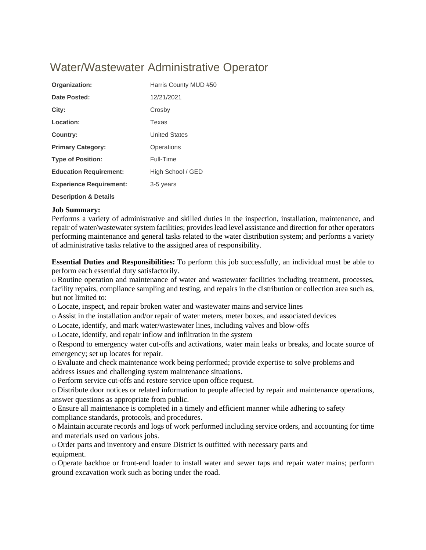# Water/Wastewater Administrative Operator

| Organization:                    | Harris County MUD #50 |
|----------------------------------|-----------------------|
| Date Posted:                     | 12/21/2021            |
| City:                            | Crosby                |
| Location:                        | Texas                 |
| Country:                         | <b>United States</b>  |
| <b>Primary Category:</b>         | Operations            |
| <b>Type of Position:</b>         | Full-Time             |
| <b>Education Requirement:</b>    | High School / GED     |
| <b>Experience Requirement:</b>   | 3-5 years             |
| <b>Description &amp; Details</b> |                       |

## **Job Summary:**

Performs a variety of administrative and skilled duties in the inspection, installation, maintenance, and repair of water/wastewater system facilities; provides lead level assistance and direction for other operators performing maintenance and general tasks related to the water distribution system; and performs a variety of administrative tasks relative to the assigned area of responsibility.

**Essential Duties and Responsibilities:** To perform this job successfully, an individual must be able to perform each essential duty satisfactorily.

o Routine operation and maintenance of water and wastewater facilities including treatment, processes, facility repairs, compliance sampling and testing, and repairs in the distribution or collection area such as, but not limited to:

o Locate, inspect, and repair broken water and wastewater mains and service lines

o Assist in the installation and/or repair of water meters, meter boxes, and associated devices

o Locate, identify, and mark water/wastewater lines, including valves and blow-offs

o Locate, identify, and repair inflow and infiltration in the system

oRespond to emergency water cut-offs and activations, water main leaks or breaks, and locate source of emergency; set up locates for repair.

o Evaluate and check maintenance work being performed; provide expertise to solve problems and address issues and challenging system maintenance situations.

o Perform service cut-offs and restore service upon office request.

o Distribute door notices or related information to people affected by repair and maintenance operations, answer questions as appropriate from public.

o Ensure all maintenance is completed in a timely and efficient manner while adhering to safety compliance standards, protocols, and procedures.

o Maintain accurate records and logs of work performed including service orders, and accounting for time and materials used on various jobs.

o Order parts and inventory and ensure District is outfitted with necessary parts and equipment.

o Operate backhoe or front-end loader to install water and sewer taps and repair water mains; perform ground excavation work such as boring under the road.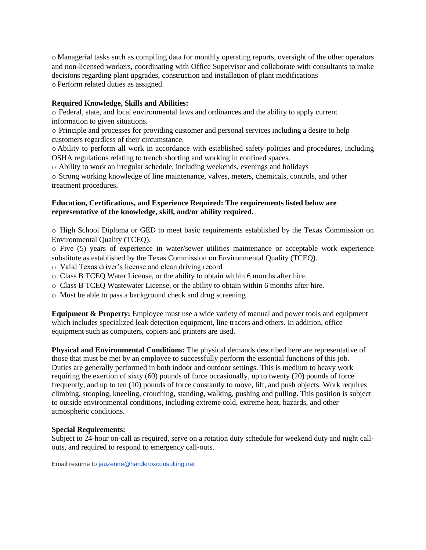o Managerial tasks such as compiling data for monthly operating reports, oversight of the other operators and non-licensed workers, coordinating with Office Supervisor and collaborate with consultants to make decisions regarding plant upgrades, construction and installation of plant modifications o Perform related duties as assigned.

### **Required Knowledge, Skills and Abilities:**

o Federal, state, and local environmental laws and ordinances and the ability to apply current information to given situations.

o Principle and processes for providing customer and personal services including a desire to help customers regardless of their circumstance.

o Ability to perform all work in accordance with established safety policies and procedures, including OSHA regulations relating to trench shorting and working in confined spaces.

o Ability to work an irregular schedule, including weekends, evenings and holidays

o Strong working knowledge of line maintenance, valves, meters, chemicals, controls, and other treatment procedures.

### **Education, Certifications, and Experience Required: The requirements listed below are representative of the knowledge, skill, and/or ability required.**

o High School Diploma or GED to meet basic requirements established by the Texas Commission on Environmental Quality (TCEQ).

o Five (5) years of experience in water/sewer utilities maintenance or acceptable work experience substitute as established by the Texas Commission on Environmental Quality (TCEQ).

o Valid Texas driver's license and clean driving record

- o Class B TCEQ Water License, or the ability to obtain within 6 months after hire.
- o Class B TCEQ Wastewater License, or the ability to obtain within 6 months after hire.
- o Must be able to pass a background check and drug screening

**Equipment & Property:** Employee must use a wide variety of manual and power tools and equipment which includes specialized leak detection equipment, line tracers and others. In addition, office equipment such as computers, copiers and printers are used.

**Physical and Environmental Conditions:** The physical demands described here are representative of those that must be met by an employee to successfully perform the essential functions of this job. Duties are generally performed in both indoor and outdoor settings. This is medium to heavy work requiring the exertion of sixty (60) pounds of force occasionally, up to twenty (20) pounds of force frequently, and up to ten (10) pounds of force constantly to move, lift, and push objects. Work requires climbing, stooping, kneeling, crouching, standing, walking, pushing and pulling. This position is subject to outside environmental conditions, including extreme cold, extreme heat, hazards, and other atmospheric conditions.

#### **Special Requirements:**

Subject to 24-hour on-call as required, serve on a rotation duty schedule for weekend duty and night callouts, and required to respond to emergency call-outs.

Email resume to [jauzenne@hardknoxconsulting.net](mailto:jauzenne@hardknoxconsulting.net)